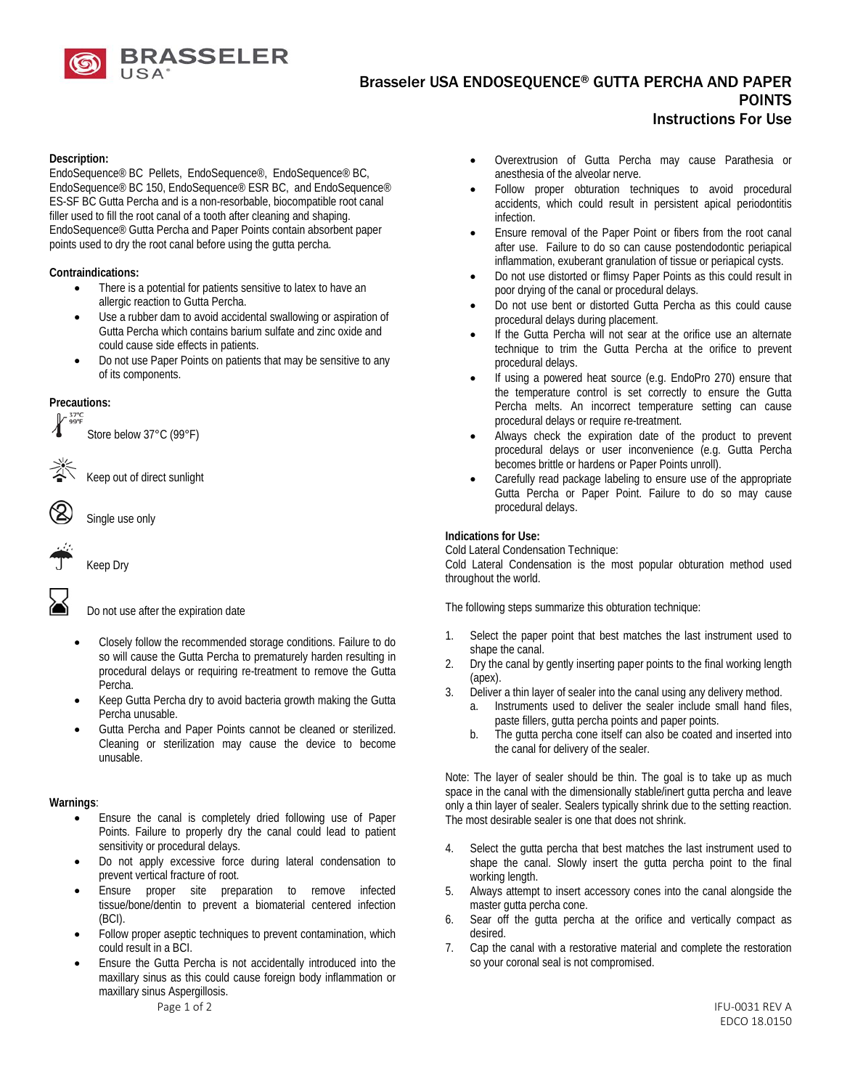

# Brasseler USA ENDOSEQUENCE® GUTTA PERCHA AND PAPER POINTS Instructions For Use

#### **Description:**

EndoSequence® BC Pellets, EndoSequence®, EndoSequence® BC, EndoSequence® BC 150, EndoSequence® ESR BC, and EndoSequence® ES-SF BC Gutta Percha and is a non-resorbable, biocompatible root canal filler used to fill the root canal of a tooth after cleaning and shaping. EndoSequence® Gutta Percha and Paper Points contain absorbent paper points used to dry the root canal before using the gutta percha.

#### **Contraindications:**

- There is a potential for patients sensitive to latex to have an allergic reaction to Gutta Percha.
- Use a rubber dam to avoid accidental swallowing or aspiration of Gutta Percha which contains barium sulfate and zinc oxide and could cause side effects in patients.
- Do not use Paper Points on patients that may be sensitive to any of its components.

# **Precautions:**<br> $\int_{0}^{\frac{37^{\circ}\text{C}}{99^{\circ}\text{F}}}$

Store below 37°C (99°F)

Keep out of direct sunlight

Single use only

Keep Dry



Do not use after the expiration date

- Closely follow the recommended storage conditions. Failure to do so will cause the Gutta Percha to prematurely harden resulting in procedural delays or requiring re-treatment to remove the Gutta Percha.
- Keep Gutta Percha dry to avoid bacteria growth making the Gutta Percha unusable.
- Gutta Percha and Paper Points cannot be cleaned or sterilized. Cleaning or sterilization may cause the device to become unusable.

#### **Warnings**:

- Ensure the canal is completely dried following use of Paper Points. Failure to properly dry the canal could lead to patient sensitivity or procedural delays.
- Do not apply excessive force during lateral condensation to prevent vertical fracture of root.
- Ensure proper site preparation to remove infected tissue/bone/dentin to prevent a biomaterial centered infection (BCI).
- Follow proper aseptic techniques to prevent contamination, which could result in a BCI.
- Ensure the Gutta Percha is not accidentally introduced into the maxillary sinus as this could cause foreign body inflammation or maxillary sinus Aspergillosis.
- Overextrusion of Gutta Percha may cause Parathesia or anesthesia of the alveolar nerve.
- Follow proper obturation techniques to avoid procedural accidents, which could result in persistent apical periodontitis infection.
- Ensure removal of the Paper Point or fibers from the root canal after use. Failure to do so can cause postendodontic periapical inflammation, exuberant granulation of tissue or periapical cysts.
- Do not use distorted or flimsy Paper Points as this could result in poor drying of the canal or procedural delays.
- Do not use bent or distorted Gutta Percha as this could cause procedural delays during placement.
- If the Gutta Percha will not sear at the orifice use an alternate technique to trim the Gutta Percha at the orifice to prevent procedural delays.
- If using a powered heat source (e.g. EndoPro 270) ensure that the temperature control is set correctly to ensure the Gutta Percha melts. An incorrect temperature setting can cause procedural delays or require re-treatment.
- Always check the expiration date of the product to prevent procedural delays or user inconvenience (e.g. Gutta Percha becomes brittle or hardens or Paper Points unroll).
- Carefully read package labeling to ensure use of the appropriate Gutta Percha or Paper Point. Failure to do so may cause procedural delays.

#### **Indications for Use:**

Cold Lateral Condensation Technique: Cold Lateral Condensation is the most popular obturation method used throughout the world.

The following steps summarize this obturation technique:

- 1. Select the paper point that best matches the last instrument used to shape the canal.
- 2. Dry the canal by gently inserting paper points to the final working length (apex).
- 3. Deliver a thin layer of sealer into the canal using any delivery method.
	- a. Instruments used to deliver the sealer include small hand files, paste fillers, gutta percha points and paper points.
	- b. The gutta percha cone itself can also be coated and inserted into the canal for delivery of the sealer.

Note: The layer of sealer should be thin. The goal is to take up as much space in the canal with the dimensionally stable/inert gutta percha and leave only a thin layer of sealer. Sealers typically shrink due to the setting reaction. The most desirable sealer is one that does not shrink.

- 4. Select the gutta percha that best matches the last instrument used to shape the canal. Slowly insert the gutta percha point to the final working length.
- 5. Always attempt to insert accessory cones into the canal alongside the master gutta percha cone.
- 6. Sear off the gutta percha at the orifice and vertically compact as desired.
- 7. Cap the canal with a restorative material and complete the restoration so your coronal seal is not compromised.